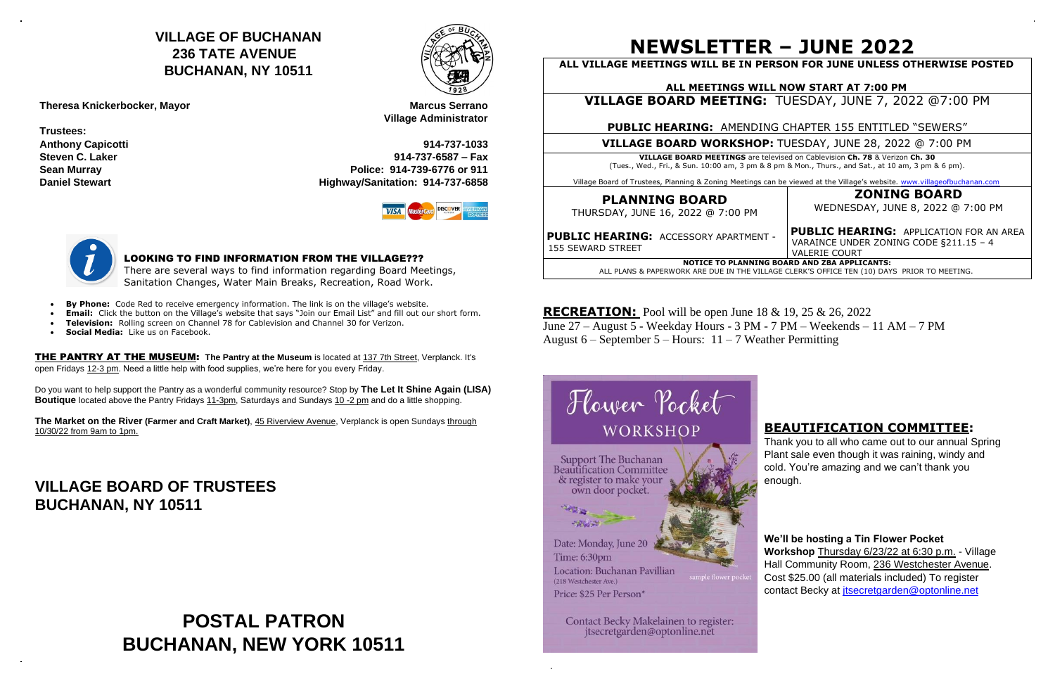## **NEWSLETTER – JUNE 2022**

| ALL VILLAGE MEETINGS WILL BE IN PERSON FOR JUNE UNLESS OTHERWISE POSTED                                                                                                                  |                                                                                                                  |
|------------------------------------------------------------------------------------------------------------------------------------------------------------------------------------------|------------------------------------------------------------------------------------------------------------------|
| ALL MEETINGS WILL NOW START AT 7:00 PM                                                                                                                                                   |                                                                                                                  |
| <b>VILLAGE BOARD MEETING: TUESDAY, JUNE 7, 2022 @7:00 PM</b>                                                                                                                             |                                                                                                                  |
| <b>PUBLIC HEARING: AMENDING CHAPTER 155 ENTITLED "SEWERS"</b>                                                                                                                            |                                                                                                                  |
| <b>VILLAGE BOARD WORKSHOP:</b> TUESDAY, JUNE 28, 2022 @ 7:00 PM                                                                                                                          |                                                                                                                  |
| <b>VILLAGE BOARD MEETINGS</b> are televised on Cablevision Ch. 78 & Verizon Ch. 30<br>(Tues., Wed., Fri., & Sun. 10:00 am, 3 pm & 8 pm & Mon., Thurs., and Sat., at 10 am, 3 pm & 6 pm). |                                                                                                                  |
| Village Board of Trustees, Planning & Zoning Meetings can be viewed at the Village's website. www.villageofbuchanan.com                                                                  |                                                                                                                  |
| <b>PLANNING BOARD</b><br>THURSDAY, JUNE 16, 2022 @ 7:00 PM                                                                                                                               | <b>ZONING BOARD</b><br>WEDNESDAY, JUNE 8, 2022 @ 7:00 PM                                                         |
| PUBLIC HEARING: ACCESSORY APARTMENT -<br>155 SEWARD STREET                                                                                                                               | <b>PUBLIC HEARING: APPLICATION FOR AN AREA</b><br>VARAINCE UNDER ZONING CODE §211.15 - 4<br><b>VALERIE COURT</b> |
| <b>NOTICE TO PLANNING BOARD AND ZBA APPLICANTS:</b><br>ALL PLANS & PAPERWORK ARE DUE IN THE VILLAGE CLERK'S OFFICE TEN (10) DAYS PRIOR TO MEETING.                                       |                                                                                                                  |

**RECREATION:** Pool will be open June 18 & 19, 25 & 26, 2022 June 27 – August 5 - Weekday Hours - 3 PM - 7 PM – Weekends – 11 AM – 7 PM August  $6 - September 5 - Hours: 11 - 7 Weather Permiting$ 



.

### **BEAUTIFICATION COMMITTEE:**

Thank you to all who came out to our annual Spring Plant sale even though it was raining, windy and cold. You're amazing and we can't thank you enough.

**We'll be hosting a Tin Flower Pocket Workshop** Thursday 6/23/22 at 6:30 p.m. - Village

Hall Community Room, 236 Westchester Avenue. Cost \$25.00 (all materials included) To register contact Becky at *itsecretgarden@optonline.net*